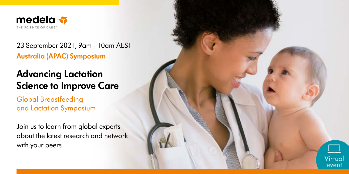

23 September 2021, 9am - 10am AEST **Australia (APAC) Symposium**

## **Advancing Lactation Science to Improve Care**

Global Breastfeeding and Lactation Symposium

Join us to learn from global experts about the latest research and network with your peers